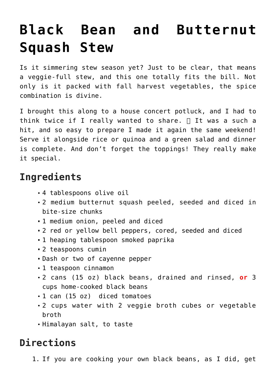## **[Black Bean and Butternut](https://laurenhubele.com/black-bean-and-butternut-squash-stew/) [Squash Stew](https://laurenhubele.com/black-bean-and-butternut-squash-stew/)**

Is it simmering stew season yet? Just to be clear, that means a veggie-full stew, and this one totally fits the bill. Not only is it packed with fall harvest vegetables, the spice combination is divine.

I brought this along to a house concert potluck, and I had to think twice if I really wanted to share.  $\Box$  It was a such a hit, and so easy to prepare I made it again the same weekend! Serve it alongside rice or quinoa and a green salad and dinner is complete. And don't forget the toppings! They really make it special.

## **Ingredients**

- 4 tablespoons olive oil
- 2 medium butternut squash peeled, seeded and diced in bite-size chunks
- 1 medium onion, peeled and diced
- 2 red or yellow bell peppers, cored, seeded and diced
- 1 heaping tablespoon smoked paprika
- 2 teaspoons cumin
- Dash or two of cayenne pepper
- 1 teaspoon cinnamon
- 2 cans (15 oz) black beans, drained and rinsed, **or** 3 cups home-cooked black beans
- 1 can (15 oz) diced tomatoes
- 2 cups water with 2 veggie broth cubes or vegetable broth
- Himalayan salt, to taste

## **Directions**

1. If you are cooking your own black beans, as I did, get